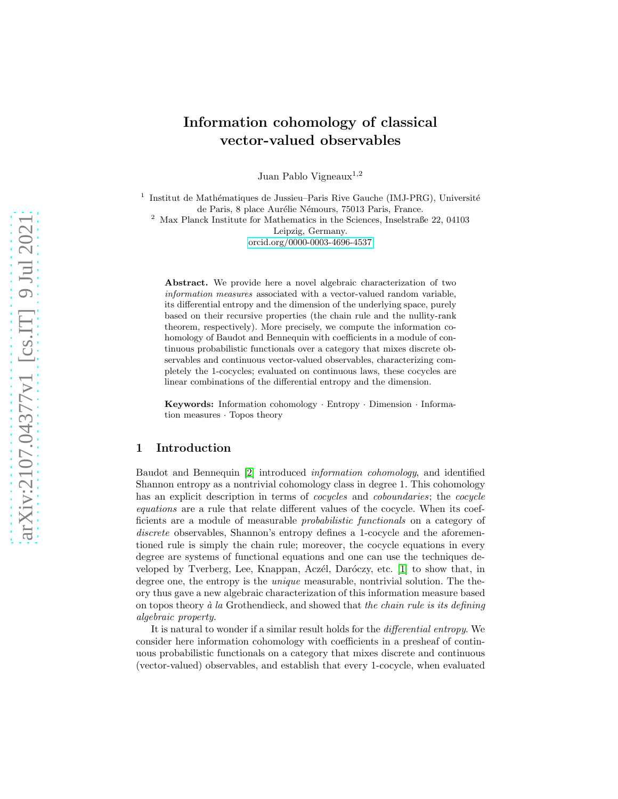# Information cohomology of classical vector-valued observables

Juan Pablo Vigneaux<sup>1,2</sup>

<sup>1</sup> Institut de Mathématiques de Jussieu-Paris Rive Gauche (IMJ-PRG), Université de Paris, 8 place Aurélie Némours, 75013 Paris, France.

<sup>2</sup> Max Planck Institute for Mathematics in the Sciences, Inselstraße 22, 04103 Leipzig, Germany. [orcid.org/0000-0003-4696-4537](https://orcid.org/0000-0003-4696-4537)

Abstract. We provide here a novel algebraic characterization of two information measures associated with a vector-valued random variable, its differential entropy and the dimension of the underlying space, purely based on their recursive properties (the chain rule and the nullity-rank theorem, respectively). More precisely, we compute the information cohomology of Baudot and Bennequin with coefficients in a module of continuous probabilistic functionals over a category that mixes discrete observables and continuous vector-valued observables, characterizing completely the 1-cocycles; evaluated on continuous laws, these cocycles are linear combinations of the differential entropy and the dimension.

Keywords: Information cohomology · Entropy · Dimension · Information measures · Topos theory

# 1 Introduction

Baudot and Bennequin [\[2\]](#page-8-0) introduced information cohomology, and identified Shannon entropy as a nontrivial cohomology class in degree 1. This cohomology has an explicit description in terms of *cocycles* and *coboundaries*; the *cocycle* equations are a rule that relate different values of the cocycle. When its coefficients are a module of measurable probabilistic functionals on a category of discrete observables, Shannon's entropy defines a 1-cocycle and the aforementioned rule is simply the chain rule; moreover, the cocycle equations in every degree are systems of functional equations and one can use the techniques developed by Tverberg, Lee, Knappan, Aczél, Daróczy, etc.  $[1]$  to show that, in degree one, the entropy is the *unique* measurable, nontrivial solution. The theory thus gave a new algebraic characterization of this information measure based on topos theory  $\dot{a}$  la Grothendieck, and showed that the chain rule is its defining algebraic property.

It is natural to wonder if a similar result holds for the differential entropy. We consider here information cohomology with coefficients in a presheaf of continuous probabilistic functionals on a category that mixes discrete and continuous (vector-valued) observables, and establish that every 1-cocycle, when evaluated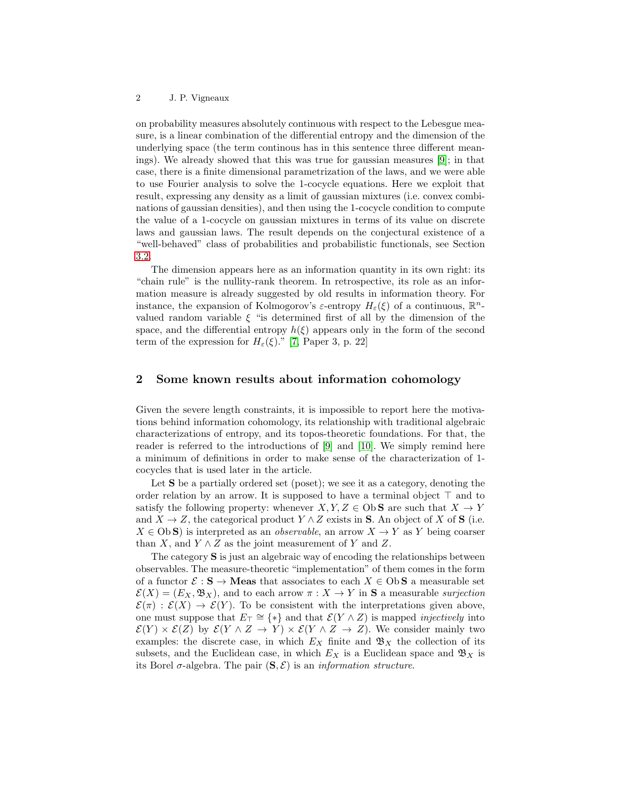on probability measures absolutely continuous with respect to the Lebesgue measure, is a linear combination of the differential entropy and the dimension of the underlying space (the term continous has in this sentence three different meanings). We already showed that this was true for gaussian measures [\[9\]](#page-9-0); in that case, there is a finite dimensional parametrization of the laws, and we were able to use Fourier analysis to solve the 1-cocycle equations. Here we exploit that result, expressing any density as a limit of gaussian mixtures (i.e. convex combinations of gaussian densities), and then using the 1-cocycle condition to compute the value of a 1-cocycle on gaussian mixtures in terms of its value on discrete laws and gaussian laws. The result depends on the conjectural existence of a "well-behaved" class of probabilities and probabilistic functionals, see Section [3.2.](#page-5-0)

The dimension appears here as an information quantity in its own right: its "chain rule" is the nullity-rank theorem. In retrospective, its role as an information measure is already suggested by old results in information theory. For instance, the expansion of Kolmogorov's  $\varepsilon$ -entropy  $H_{\varepsilon}(\xi)$  of a continuous,  $\mathbb{R}^n$ valued random variable  $\xi$  "is determined first of all by the dimension of the space, and the differential entropy  $h(\xi)$  appears only in the form of the second term of the expression for  $H_{\varepsilon}(\xi)$ ." [\[7,](#page-8-2) Paper 3, p. 22]

## 2 Some known results about information cohomology

Given the severe length constraints, it is impossible to report here the motivations behind information cohomology, its relationship with traditional algebraic characterizations of entropy, and its topos-theoretic foundations. For that, the reader is referred to the introductions of [\[9\]](#page-9-0) and [\[10\]](#page-9-1). We simply remind here a minimum of definitions in order to make sense of the characterization of 1 cocycles that is used later in the article.

Let **S** be a partially ordered set (poset); we see it as a category, denoting the order relation by an arrow. It is supposed to have a terminal object  $\top$  and to satisfy the following property: whenever  $X, Y, Z \in \text{Ob } S$  are such that  $X \to Y$ and  $X \to Z$ , the categorical product  $Y \wedge Z$  exists in S. An object of X of S (i.e.  $X \in \text{Ob } S$ ) is interpreted as an *observable*, an arrow  $X \to Y$  as Y being coarser than X, and  $Y \wedge Z$  as the joint measurement of Y and Z.

The category S is just an algebraic way of encoding the relationships between observables. The measure-theoretic "implementation" of them comes in the form of a functor  $\mathcal{E}: \mathbf{S} \to \mathbf{Meas}$  that associates to each  $X \in \mathrm{Ob}\,\mathbf{S}$  a measurable set  $\mathcal{E}(X) = (E_X, \mathfrak{B}_X)$ , and to each arrow  $\pi : X \to Y$  in **S** a measurable surjection  $\mathcal{E}(\pi): \mathcal{E}(X) \to \mathcal{E}(Y)$ . To be consistent with the interpretations given above, one must suppose that  $E_{\top} \cong \{*\}$  and that  $\mathcal{E}(Y \wedge Z)$  is mapped *injectively* into  $\mathcal{E}(Y) \times \mathcal{E}(Z)$  by  $\mathcal{E}(Y \wedge Z \to Y) \times \mathcal{E}(Y \wedge Z \to Z)$ . We consider mainly two examples: the discrete case, in which  $E<sub>X</sub>$  finite and  $\mathfrak{B}<sub>X</sub>$  the collection of its subsets, and the Euclidean case, in which  $E<sub>X</sub>$  is a Euclidean space and  $\mathfrak{B}<sub>X</sub>$  is its Borel  $\sigma$ -algebra. The pair  $(S, \mathcal{E})$  is an *information structure*.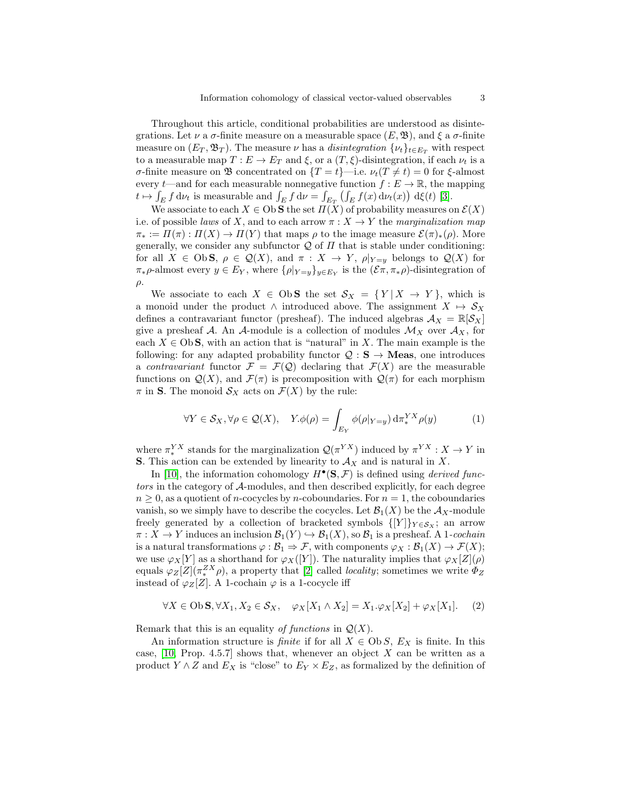Throughout this article, conditional probabilities are understood as disintegrations. Let  $\nu$  a  $\sigma$ -finite measure on a measurable space  $(E, \mathfrak{B})$ , and  $\xi$  a  $\sigma$ -finite measure on  $(E_T, \mathfrak{B}_T)$ . The measure  $\nu$  has a *disintegration*  $\{\nu_t\}_{t \in E_T}$  with respect to a measurable map  $T : E \to E_T$  and  $\xi$ , or a  $(T, \xi)$ -disintegration, if each  $\nu_t$  is a σ-finite measure on **B** concentrated on  $\{T = t\}$ —i.e.  $\nu_t(T \neq t) = 0$  for ξ-almost every  $t$ —and for each measurable nonnegative function  $f : E \to \mathbb{R}$ , the mapping  $t \mapsto \int_E f \, d\nu_t$  is measurable and  $\int_E f \, d\nu = \int_{E_T} \left( \int_E f(x) \, d\nu_t(x) \right) \, d\xi(t)$  [\[3\]](#page-8-3).

We associate to each  $X \in \text{Ob } S$  the set  $\Pi(X)$  of probability measures on  $\mathcal{E}(X)$ i.e. of possible laws of X, and to each arrow  $\pi : X \to Y$  the marginalization map  $\pi_* := \Pi(\pi) : \Pi(X) \to \Pi(Y)$  that maps  $\rho$  to the image measure  $\mathcal{E}(\pi)_*(\rho)$ . More generally, we consider any subfunctor  $\mathcal Q$  of  $\Pi$  that is stable under conditioning: for all  $X \in \text{Ob } S$ ,  $\rho \in \mathcal{Q}(X)$ , and  $\pi : X \to Y$ ,  $\rho|_{Y=y}$  belongs to  $\mathcal{Q}(X)$  for  $\pi_*\rho$ -almost every  $y \in E_Y$ , where  $\{\rho|_{Y=y}\}_{y \in E_Y}$  is the  $(\mathcal{E}\pi, \pi_*\rho)$ -disintegration of  $ρ.$ 

We associate to each  $X \in \text{Ob } S$  the set  $S_X = \{Y | X \rightarrow Y\}$ , which is a monoid under the product  $\land$  introduced above. The assignment  $X \mapsto S_X$ defines a contravariant functor (presheaf). The induced algebras  $\mathcal{A}_X = \mathbb{R}[\mathcal{S}_X]$ give a presheaf  $A$ . An  $A$ -module is a collection of modules  $\mathcal{M}_X$  over  $\mathcal{A}_X$ , for each  $X \in \text{Ob } S$ , with an action that is "natural" in X. The main example is the following: for any adapted probability functor  $\mathcal{Q}: \mathbf{S} \to \mathbf{Meas}$ , one introduces a contravariant functor  $\mathcal{F} = \mathcal{F}(\mathcal{Q})$  declaring that  $\mathcal{F}(X)$  are the measurable functions on  $\mathcal{Q}(X)$ , and  $\mathcal{F}(\pi)$  is precomposition with  $\mathcal{Q}(\pi)$  for each morphism  $\pi$  in **S**. The monoid  $\mathcal{S}_X$  acts on  $\mathcal{F}(X)$  by the rule:

<span id="page-2-0"></span>
$$
\forall Y \in \mathcal{S}_X, \forall \rho \in \mathcal{Q}(X), \quad Y. \phi(\rho) = \int_{E_Y} \phi(\rho|_{Y=y}) d\pi_*^{YX} \rho(y) \tag{1}
$$

where  $\pi^{YX}_*$  stands for the marginalization  $\mathcal{Q}(\pi^{YX})$  induced by  $\pi^{YX}: X \to Y$  in **S**. This action can be extended by linearity to  $\mathcal{A}_X$  and is natural in X.

In [\[10\]](#page-9-1), the information cohomology  $H^{\bullet}(\mathbf{S}, \mathcal{F})$  is defined using *derived func*tors in the category of A-modules, and then described explicitly, for each degree  $n \geq 0$ , as a quotient of *n*-cocycles by *n*-coboundaries. For  $n = 1$ , the coboundaries vanish, so we simply have to describe the cocycles. Let  $\mathcal{B}_1(X)$  be the  $\mathcal{A}_X$ -module freely generated by a collection of bracketed symbols  $\{[Y]\}_{Y \in S_X}$ ; an arrow  $\pi: X \to Y$  induces an inclusion  $\mathcal{B}_1(Y) \hookrightarrow \mathcal{B}_1(X)$ , so  $\mathcal{B}_1$  is a presheaf. A 1-cochain is a natural transformations  $\varphi : \mathcal{B}_1 \Rightarrow \mathcal{F}$ , with components  $\varphi_X : \mathcal{B}_1(X) \to \mathcal{F}(X)$ ; we use  $\varphi_X[Y]$  as a shorthand for  $\varphi_X([Y]).$  The naturality implies that  $\varphi_X[Z](\rho)$ equals  $\varphi_Z[Z](\pi_*^{ZX}\rho)$ , a property that [\[2\]](#page-8-0) called *locality*; sometimes we write  $\Phi_Z$ instead of  $\varphi_Z[Z]$ . A 1-cochain  $\varphi$  is a 1-cocycle iff

$$
\forall X \in \text{Ob } \mathbf{S}, \forall X_1, X_2 \in \mathcal{S}_X, \quad \varphi_X[X_1 \wedge X_2] = X_1. \varphi_X[X_2] + \varphi_X[X_1]. \tag{2}
$$

Remark that this is an equality of functions in  $\mathcal{Q}(X)$ .

An information structure is *finite* if for all  $X \in Ob S$ ,  $E_X$  is finite. In this case,  $[10,$  Prop. 4.5.7] shows that, whenever an object X can be written as a product  $Y \wedge Z$  and  $E_X$  is "close" to  $E_Y \times E_Z$ , as formalized by the definition of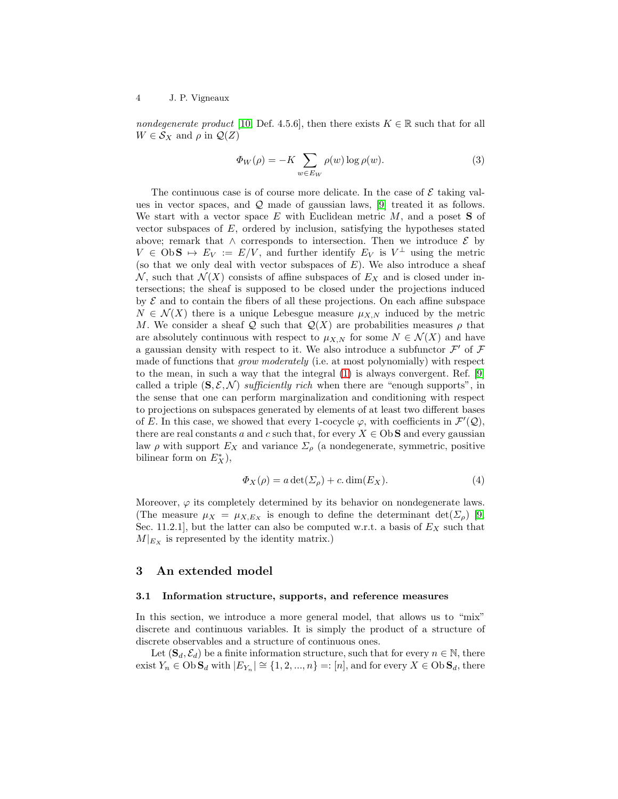4 J. P. Vigneaux

nondegenerate product [\[10,](#page-9-1) Def. 4.5.6], then there exists  $K \in \mathbb{R}$  such that for all  $W \in \mathcal{S}_X$  and  $\rho$  in  $\mathcal{Q}(Z)$ 

<span id="page-3-0"></span>
$$
\Phi_W(\rho) = -K \sum_{w \in E_W} \rho(w) \log \rho(w). \tag{3}
$$

The continuous case is of course more delicate. In the case of  $\mathcal E$  taking values in vector spaces, and Q made of gaussian laws, [\[9\]](#page-9-0) treated it as follows. We start with a vector space  $E$  with Euclidean metric  $M$ , and a poset **S** of vector subspaces of  $E$ , ordered by inclusion, satisfying the hypotheses stated above; remark that  $\land$  corresponds to intersection. Then we introduce  $\mathcal{E}$  by  $V \in \text{Ob } S \mapsto E_V := E/V$ , and further identify  $E_V$  is  $V^{\perp}$  using the metric (so that we only deal with vector subspaces of  $E$ ). We also introduce a sheaf N, such that  $\mathcal{N}(X)$  consists of affine subspaces of  $E_X$  and is closed under intersections; the sheaf is supposed to be closed under the projections induced by  $\mathcal E$  and to contain the fibers of all these projections. On each affine subspace  $N \in \mathcal{N}(X)$  there is a unique Lebesgue measure  $\mu_{X,N}$  induced by the metric M. We consider a sheaf Q such that  $\mathcal{Q}(X)$  are probabilities measures  $\rho$  that are absolutely continuous with respect to  $\mu_{X,N}$  for some  $N \in \mathcal{N}(X)$  and have a gaussian density with respect to it. We also introduce a subfunctor  $\mathcal{F}'$  of  $\mathcal F$ made of functions that grow moderately (i.e. at most polynomially) with respect to the mean, in such a way that the integral [\(1\)](#page-2-0) is always convergent. Ref. [\[9\]](#page-9-0) called a triple  $(S, \mathcal{E}, \mathcal{N})$  sufficiently rich when there are "enough supports", in the sense that one can perform marginalization and conditioning with respect to projections on subspaces generated by elements of at least two different bases of E. In this case, we showed that every 1-cocycle  $\varphi$ , with coefficients in  $\mathcal{F}'(\mathcal{Q})$ , there are real constants a and c such that, for every  $X \in \mathbb{O}$  and every gaussian law  $\rho$  with support  $E_X$  and variance  $\Sigma_\rho$  (a nondegenerate, symmetric, positive bilinear form on  $E_X^*$ ),

<span id="page-3-1"></span>
$$
\Phi_X(\rho) = a \det(\Sigma_\rho) + c \cdot \dim(E_X). \tag{4}
$$

Moreover,  $\varphi$  its completely determined by its behavior on nondegenerate laws. (The measure  $\mu_X = \mu_{X,E_X}$  is enough to define the determinant  $\det(\Sigma_\rho)$  [\[9,](#page-9-0) Sec. 11.2.1], but the latter can also be computed w.r.t. a basis of  $E<sub>X</sub>$  such that  $M|_{E_X}$  is represented by the identity matrix.)

# 3 An extended model

#### 3.1 Information structure, supports, and reference measures

In this section, we introduce a more general model, that allows us to "mix" discrete and continuous variables. It is simply the product of a structure of discrete observables and a structure of continuous ones.

Let  $(\mathbf{S}_d, \mathcal{E}_d)$  be a finite information structure, such that for every  $n \in \mathbb{N}$ , there exist  $Y_n \in \text{Ob } S_d$  with  $|E_{Y_n}| \cong \{1, 2, ..., n\} =: [n]$ , and for every  $X \in \text{Ob } S_d$ , there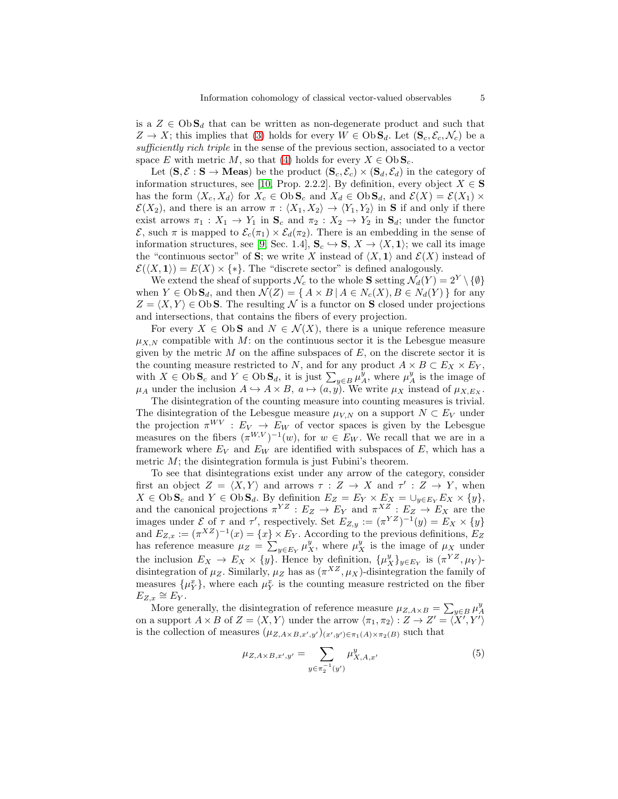is a  $Z \in \mathrm{Ob} \mathbf{S}_d$  that can be written as non-degenerate product and such that  $Z \to X$ ; this implies that [\(3\)](#page-3-0) holds for every  $W \in \text{Ob } S_d$ . Let  $(S_c, \mathcal{E}_c, \mathcal{N}_c)$  be a sufficiently rich triple in the sense of the previous section, associated to a vector space E with metric M, so that [\(4\)](#page-3-1) holds for every  $X \in \mathrm{Ob} \, \mathbf{S}_c$ .

Let  $(\mathbf{S}, \mathcal{E} : \mathbf{S} \to \mathbf{Meas})$  be the product  $(\mathbf{S}_c, \mathcal{E}_c) \times (\mathbf{S}_d, \mathcal{E}_d)$  in the category of information structures, see [\[10,](#page-9-1) Prop. 2.2.2]. By definition, every object  $X \in \mathbf{S}$ has the form  $\langle X_c, X_d \rangle$  for  $X_c \in \text{Ob } S_c$  and  $X_d \in \text{Ob } S_d$ , and  $\mathcal{E}(X) = \mathcal{E}(X_1) \times$  $\mathcal{E}(X_2)$ , and there is an arrow  $\pi : \langle X_1, X_2 \rangle \to \langle Y_1, Y_2 \rangle$  in S if and only if there exist arrows  $\pi_1 : X_1 \to Y_1$  in  $S_c$  and  $\pi_2 : X_2 \to Y_2$  in  $S_d$ ; under the functor  $\mathcal{E}$ , such π is mapped to  $\mathcal{E}_c(\pi_1) \times \mathcal{E}_d(\pi_2)$ . There is an embedding in the sense of information structures, see [\[9,](#page-9-0) Sec. 1.4],  $\mathbf{S}_c \hookrightarrow \mathbf{S}, X \to \langle X, \mathbf{1} \rangle$ ; we call its image the "continuous sector" of S; we write X instead of  $\langle X, 1 \rangle$  and  $\mathcal{E}(X)$  instead of  $\mathcal{E}(\langle X, \mathbf{1} \rangle) = E(X) \times \{*\}.$  The "discrete sector" is defined analogously.

We extend the sheaf of supports  $\mathcal{N}_c$  to the whole **S** setting  $\mathcal{N}_d(Y) = 2^Y \setminus \{\emptyset\}$ when  $Y \in \text{Ob } S_d$ , and then  $\mathcal{N}(Z) = \{ A \times B \mid A \in N_c(X), B \in N_d(Y) \}$  for any  $Z = \langle X, Y \rangle \in \text{Ob } S$ . The resulting N is a functor on S closed under projections and intersections, that contains the fibers of every projection.

For every  $X \in \text{Ob } S$  and  $N \in \mathcal{N}(X)$ , there is a unique reference measure  $\mu_{X,N}$  compatible with M: on the continuous sector it is the Lebesgue measure given by the metric  $M$  on the affine subspaces of  $E$ , on the discrete sector it is the counting measure restricted to N, and for any product  $A \times B \subset E_X \times E_Y$ , with  $X \in \text{Ob } S_c$  and  $Y \in \text{Ob } S_d$ , it is just  $\sum_{y \in B} \mu_A^y$ , where  $\mu_A^y$  is the image of  $\mu_A$  under the inclusion  $A \hookrightarrow A \times B$ ,  $a \mapsto (a, y)$ . We write  $\mu_X$  instead of  $\mu_{X,Ex}$ .

The disintegration of the counting measure into counting measures is trivial. The disintegration of the Lebesgue measure  $\mu_{V,N}$  on a support  $N \subset E_V$  under the projection  $\pi^{WV} : E_V \to E_W$  of vector spaces is given by the Lebesgue measures on the fibers  $(\pi^{W,V})^{-1}(w)$ , for  $w \in E_W$ . We recall that we are in a framework where  $E_V$  and  $E_W$  are identified with subspaces of E, which has a metric  $M$ ; the disintegration formula is just Fubini's theorem.

To see that disintegrations exist under any arrow of the category, consider first an object  $Z = \langle X, Y \rangle$  and arrows  $\tau : Z \to X$  and  $\tau' : Z \to Y$ , when  $X \in \mathrm{Ob}\, \mathbf{S}_c$  and  $Y \in \mathrm{Ob}\, \mathbf{S}_d$ . By definition  $E_Z = E_Y \times E_X = \cup_{y \in E_Y} E_X \times \{y\},$ and the canonical projections  $\pi^{YZ}: E_Z \to E_Y$  and  $\pi^{XZ}: E_Z \to E_X$  are the images under  $\mathcal E$  of  $\tau$  and  $\tau'$ , respectively. Set  $E_{Z,y} := (\pi^{YZ})^{-1}(y) = E_X \times \{y\}$ and  $E_{Z,x} := (\pi^{XZ})^{-1}(x) = \{x\} \times E_Y$ . According to the previous definitions,  $E_Z$ has reference measure  $\mu_Z = \sum_{y \in E_Y} \mu_X^y$ , where  $\mu_X^y$  is the image of  $\mu_X$  under the inclusion  $E_X \to E_X \times \{y\}$ . Hence by definition,  $\{\mu_X^y\}_{y \in E_Y}$  is  $(\pi^{YZ}, \mu_Y)$ disintegration of  $\mu_Z$ . Similarly,  $\mu_Z$  has as  $(\pi^{XZ}, \mu_X)$ -disintegration the family of measures  $\{\mu_Y^x\}$ , where each  $\mu_Y^x$  is the counting measure restricted on the fiber  $E_{Z,x} \cong E_Y.$ 

More generally, the disintegration of reference measure  $\mu_{Z,A\times B} = \sum_{y\in B} \mu_A^y$ on a support  $A \times B$  of  $Z = \langle X, Y \rangle$  under the arrow  $\langle \pi_1, \pi_2 \rangle : Z \to Z' = \langle X', Y' \rangle$ is the collection of measures  $(\mu_{Z,A\times B,x',y'})_{(x',y')\in\pi_1(A)\times\pi_2(B)}$  such that

$$
\mu_{Z,A \times B,x',y'} = \sum_{y \in \pi_2^{-1}(y')} \mu_{X,A,x'}^y \tag{5}
$$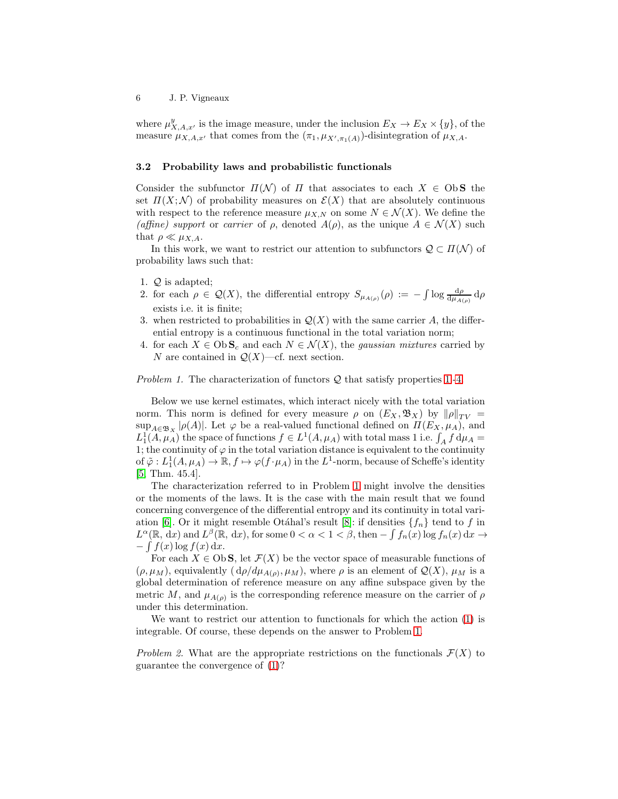where  $\mu_{X,A,x'}^y$  is the image measure, under the inclusion  $E_X \to E_X \times \{y\}$ , of the measure  $\mu_{X,A,x'}$  that comes from the  $(\pi_1, \mu_{X',\pi_1(A)})$ -disintegration of  $\mu_{X,A}$ .

#### <span id="page-5-0"></span>3.2 Probability laws and probabilistic functionals

Consider the subfunctor  $\Pi(\mathcal{N})$  of  $\Pi$  that associates to each  $X \in \text{Ob } S$  the set  $\Pi(X; \mathcal{N})$  of probability measures on  $\mathcal{E}(X)$  that are absolutely continuous with respect to the reference measure  $\mu_{X,N}$  on some  $N \in \mathcal{N}(X)$ . We define the (affine) support or carrier of  $\rho$ , denoted  $A(\rho)$ , as the unique  $A \in \mathcal{N}(X)$  such that  $\rho \ll \mu_{X,A}$ .

In this work, we want to restrict our attention to subfunctors  $\mathcal{Q} \subset \Pi(\mathcal{N})$  of probability laws such that:

- <span id="page-5-1"></span>1. Q is adapted;
- 2. for each  $\rho \in \mathcal{Q}(X)$ , the differential entropy  $S_{\mu_{A(\rho)}}(\rho) := -\int \log \frac{d\rho}{d\mu_{A(\rho)}} d\rho$ exists i.e. it is finite;
- 3. when restricted to probabilities in  $\mathcal{Q}(X)$  with the same carrier A, the differential entropy is a continuous functional in the total variation norm;
- <span id="page-5-2"></span>4. for each  $X \in \text{Ob } S_c$  and each  $N \in \mathcal{N}(X)$ , the *gaussian mixtures* carried by N are contained in  $\mathcal{Q}(X)$ —cf. next section.

<span id="page-5-3"></span>*Problem [1.](#page-5-1)* The characterization of functors  $Q$  that satisfy properties 1.[-4.](#page-5-2)

Below we use kernel estimates, which interact nicely with the total variation norm. This norm is defined for every measure  $\rho$  on  $(E_X, \mathfrak{B}_X)$  by  $\|\rho\|_{TV} =$  $\sup_{A\in\mathfrak{B}_X}|\rho(A)|$ . Let  $\varphi$  be a real-valued functional defined on  $\Pi(E_X,\mu_A)$ , and  $L_1^1(A, \mu_A)$  the space of functions  $f \in L^1(A, \mu_A)$  with total mass 1 i.e.  $\int_A f d\mu_A =$ 1; the continuity of  $\varphi$  in the total variation distance is equivalent to the continuity of  $\tilde{\varphi}: L^1_1(A, \mu_A) \to \mathbb{R}, f \mapsto \varphi(f \cdot \mu_A)$  in the  $L^1$ -norm, because of Scheffe's identity [\[5,](#page-8-4) Thm. 45.4].

The characterization referred to in Problem [1](#page-5-3) might involve the densities or the moments of the laws. It is the case with the main result that we found concerning convergence of the differential entropy and its continuity in total vari-ation [\[6\]](#page-8-5). Or it might resemble Otáhal's result [\[8\]](#page-8-6): if densities  ${f_n}$  tend to f in  $L^{\alpha}(\mathbb{R}, dx)$  and  $L^{\beta}(\mathbb{R}, dx)$ , for some  $0 < \alpha < 1 < \beta$ , then  $-\int f_n(x) \log f_n(x) dx \rightarrow$  $-\int f(x) \log f(x) dx$ .

For each  $X \in \text{Ob } S$ , let  $\mathcal{F}(X)$  be the vector space of measurable functions of  $(\rho, \mu_M)$ , equivalently  $(d\rho/d\mu_{A(\rho)}, \mu_M)$ , where  $\rho$  is an element of  $\mathcal{Q}(X)$ ,  $\mu_M$  is a global determination of reference measure on any affine subspace given by the metric M, and  $\mu_{A(\rho)}$  is the corresponding reference measure on the carrier of  $\rho$ under this determination.

We want to restrict our attention to functionals for which the action [\(1\)](#page-2-0) is integrable. Of course, these depends on the answer to Problem [1.](#page-5-3)

Problem 2. What are the appropriate restrictions on the functionals  $\mathcal{F}(X)$  to guarantee the convergence of [\(1\)](#page-2-0)?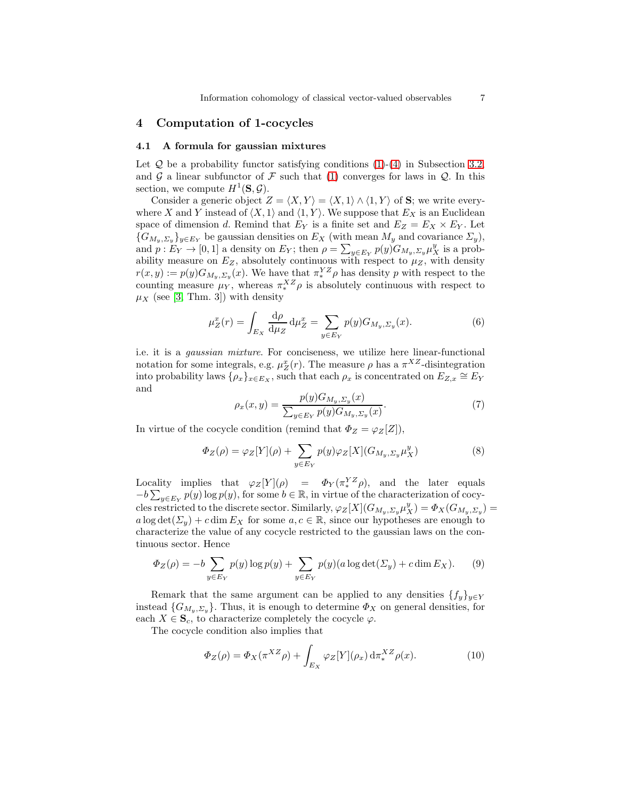## <span id="page-6-2"></span>4 Computation of 1-cocycles

#### 4.1 A formula for gaussian mixtures

Let  $Q$  be a probability functor satisfying conditions  $(1)-(4)$  $(1)-(4)$  in Subsection [3.2,](#page-5-0) and G a linear subfunctor of F such that [\(1\)](#page-2-0) converges for laws in  $\mathcal{Q}$ . In this section, we compute  $H^1(\mathbf{S}, \mathcal{G})$ .

Consider a generic object  $Z = \langle X, Y \rangle = \langle X, 1 \rangle \wedge \langle 1, Y \rangle$  of S; we write everywhere X and Y instead of  $\langle X, 1 \rangle$  and  $\langle 1, Y \rangle$ . We suppose that  $E_X$  is an Euclidean space of dimension d. Remind that  $E_Y$  is a finite set and  $E_Z = E_X \times E_Y$ . Let  ${G_{M_y, \Sigma_y}}_{y \in E_Y}$  be gaussian densities on  $E_X$  (with mean  $M_y$  and covariance  $\Sigma_y$ ), and  $p: E_Y \to [0,1]$  a density on  $E_Y$ ; then  $\rho = \sum_{y \in E_Y} p(y) G_{M_y, \Sigma_y} \mu_X^y$  is a probability measure on  $E_Z$ , absolutely continuous with respect to  $\mu_Z$ , with density  $r(x,y) := p(y) G_{M_y, \Sigma_y}(x)$ . We have that  $\pi^{YZ}_* \rho$  has density p with respect to the counting measure  $\mu_Y$ , whereas  $\pi_*^{XZ}\rho$  is absolutely continuous with respect to  $\mu_X$  (see [\[3,](#page-8-3) Thm. 3]) with density

$$
\mu_Z^x(r) = \int_{E_X} \frac{\mathrm{d}\rho}{\mathrm{d}\mu_Z} \,\mathrm{d}\mu_Z^x = \sum_{y \in E_Y} p(y) G_{M_y, \Sigma_y}(x). \tag{6}
$$

i.e. it is a gaussian mixture. For conciseness, we utilize here linear-functional notation for some integrals, e.g.  $\mu_Z^x(r)$ . The measure  $\rho$  has a  $\pi^{XZ}$ -disintegration into probability laws  $\{\rho_x\}_{x\in E_X}$ , such that each  $\rho_x$  is concentrated on  $E_{Z,x} \cong E_Y$ and

$$
\rho_x(x, y) = \frac{p(y)G_{M_y, \Sigma_y}(x)}{\sum_{y \in E_Y} p(y)G_{M_y, \Sigma_y}(x)}.
$$
\n(7)

In virtue of the cocycle condition (remind that  $\Phi_Z = \varphi_Z[Z]$ ),

$$
\Phi_Z(\rho) = \varphi_Z[Y](\rho) + \sum_{y \in E_Y} p(y)\varphi_Z[X](G_{M_y, \Sigma_y} \mu_X^y) \tag{8}
$$

Locality implies that  $\varphi_Z[Y](\rho) = \Phi_Y(\pi_*^{YZ}\rho)$ , and the later equals  $-b\sum_{y\in E_Y} p(y) \log p(y)$ , for some  $b \in \mathbb{R}$ , in virtue of the characterization of cocycles restricted to the discrete sector. Similarly,  $\varphi_Z[X](G_{M_y, \Sigma_y} \mu_X^y) = \Phi_X(G_{M_y, \Sigma_y}) =$  $a \log \det(\Sigma_{\nu}) + c \dim E_X$  for some  $a, c \in \mathbb{R}$ , since our hypotheses are enough to characterize the value of any cocycle restricted to the gaussian laws on the continuous sector. Hence

<span id="page-6-0"></span>
$$
\Phi_Z(\rho) = -b \sum_{y \in E_Y} p(y) \log p(y) + \sum_{y \in E_Y} p(y) (a \log \det(\Sigma_y) + c \dim E_X). \tag{9}
$$

Remark that the same argument can be applied to any densities  $\{f_y\}_{y\in Y}$ instead  $\{G_{M_n,\Sigma_n}\}.$  Thus, it is enough to determine  $\Phi_X$  on general densities, for each  $X \in \mathbf{S}_c$ , to characterize completely the cocycle  $\varphi$ .

The cocycle condition also implies that

<span id="page-6-1"></span>
$$
\Phi_Z(\rho) = \Phi_X(\pi^{XZ}\rho) + \int_{E_X} \varphi_Z[Y](\rho_x) d\pi^{XZ}_* \rho(x). \tag{10}
$$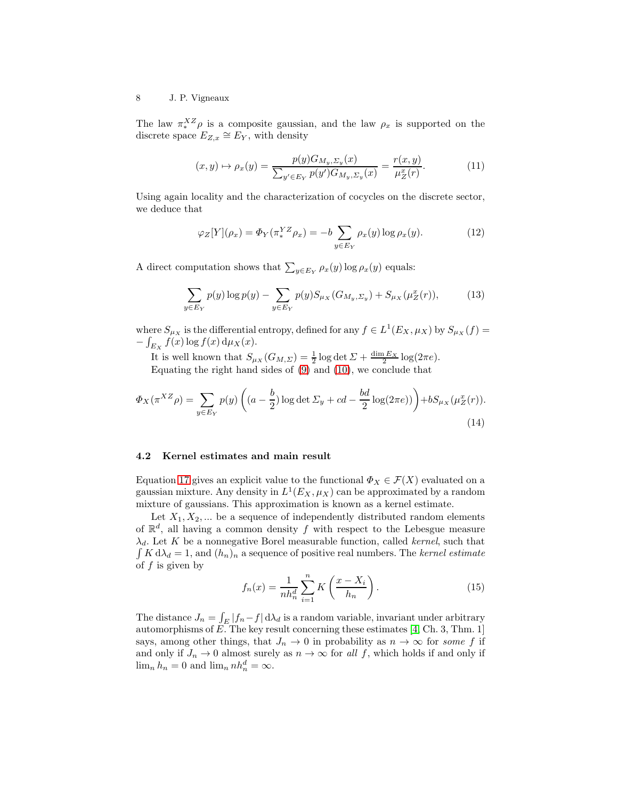#### 8 J. P. Vigneaux

The law  $\pi_*^{XZ}\rho$  is a composite gaussian, and the law  $\rho_x$  is supported on the discrete space  $E_{Z,x} \cong E_Y$ , with density

$$
(x,y) \mapsto \rho_x(y) = \frac{p(y)G_{M_y, \Sigma_y}(x)}{\sum_{y' \in E_Y} p(y')G_{M_y, \Sigma_y}(x)} = \frac{r(x,y)}{\mu_Z^x(r)}.
$$
 (11)

Using again locality and the characterization of cocycles on the discrete sector, we deduce that

$$
\varphi_Z[Y](\rho_x) = \Phi_Y(\pi_*^{YZ}\rho_x) = -b \sum_{y \in E_Y} \rho_x(y) \log \rho_x(y). \tag{12}
$$

A direct computation shows that  $\sum_{y \in E_Y} \rho_x(y) \log \rho_x(y)$  equals:

$$
\sum_{y \in E_Y} p(y) \log p(y) - \sum_{y \in E_Y} p(y) S_{\mu_X}(G_{M_y, \Sigma_y}) + S_{\mu_X}(\mu_Z^x(r)),\tag{13}
$$

where  $S_{\mu_X}$  is the differential entropy, defined for any  $f \in L^1(E_X, \mu_X)$  by  $S_{\mu_X}(f)$  $-\int_{E_X} f(x) \log f(x) d\mu_X(x)$ .

It is well known that  $S_{\mu_X}(G_{M,\Sigma}) = \frac{1}{2} \log \det \Sigma + \frac{\dim E_X}{2} \log(2\pi e)$ . Equating the right hand sides of [\(9\)](#page-6-0) and [\(10\)](#page-6-1), we conclude that

$$
\Phi_X(\pi^{XZ}\rho) = \sum_{y \in E_Y} p(y) \left( (a - \frac{b}{2}) \log \det \Sigma_y + cd - \frac{bd}{2} \log(2\pi e) \right) + bS_{\mu_X}(\mu_Z^x(r)).
$$
\n(14)

#### 4.2 Kernel estimates and main result

Equation [17](#page-8-7) gives an explicit value to the functional  $\Phi_X \in \mathcal{F}(X)$  evaluated on a gaussian mixture. Any density in  $L^1(E_X, \mu_X)$  can be approximated by a random mixture of gaussians. This approximation is known as a kernel estimate.

Let  $X_1, X_2, \ldots$  be a sequence of independently distributed random elements of  $\mathbb{R}^d$ , all having a common density f with respect to the Lebesgue measure  $\lambda_d$ . Let K be a nonnegative Borel measurable function, called kernel, such that  $\int K d\lambda_d = 1$ , and  $(h_n)_n$  a sequence of positive real numbers. The kernel estimate of  $f$  is given by

<span id="page-7-0"></span>
$$
f_n(x) = \frac{1}{nh_n^d} \sum_{i=1}^n K\left(\frac{x - X_i}{h_n}\right).
$$
 (15)

The distance  $J_n = \int_E |f_n - f| d\lambda_d$  is a random variable, invariant under arbitrary automorphisms of  $E$ . The key result concerning these estimates [\[4,](#page-8-8) Ch. 3, Thm. 1] says, among other things, that  $J_n \to 0$  in probability as  $n \to \infty$  for some f if and only if  $J_n \to 0$  almost surely as  $n \to \infty$  for all f, which holds if and only if  $\lim_{n} h_n = 0$  and  $\lim_{n} nh_n^d = \infty$ .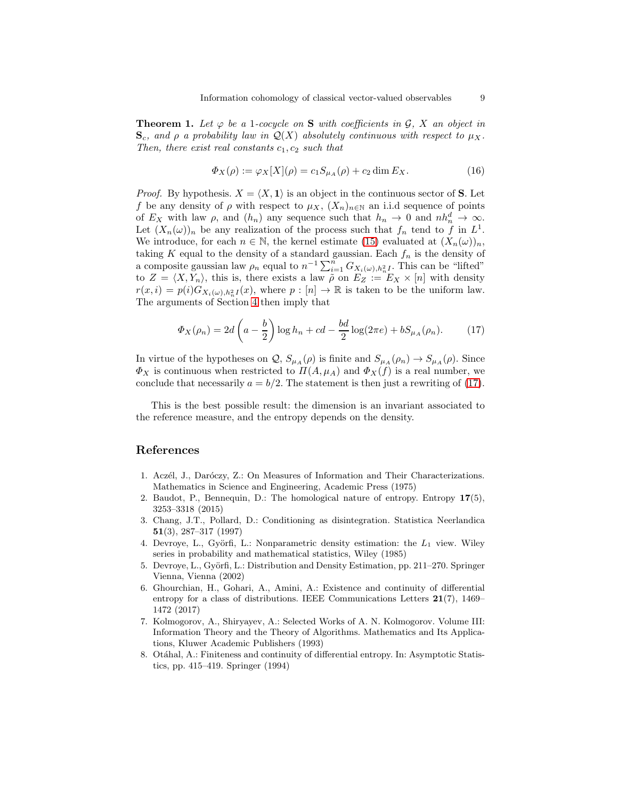**Theorem 1.** Let  $\varphi$  be a 1-cocycle on **S** with coefficients in G, X an object in  $\mathbf{S}_c$ , and  $\rho$  a probability law in  $\mathcal{Q}(X)$  absolutely continuous with respect to  $\mu_X$ . Then, there exist real constants  $c_1, c_2$  such that

$$
\Phi_X(\rho) := \varphi_X[X](\rho) = c_1 S_{\mu_A}(\rho) + c_2 \dim E_X. \tag{16}
$$

*Proof.* By hypothesis.  $X = \langle X, 1 \rangle$  is an object in the continuous sector of S. Let f be any density of  $\rho$  with respect to  $\mu_X$ ,  $(X_n)_{n\in\mathbb{N}}$  an i.i.d sequence of points of  $E_X$  with law  $\rho$ , and  $(h_n)$  any sequence such that  $h_n \to 0$  and  $nh_n^d \to \infty$ . Let  $(X_n(\omega))_n$  be any realization of the process such that  $f_n$  tend to f in  $L^1$ . We introduce, for each  $n \in \mathbb{N}$ , the kernel estimate [\(15\)](#page-7-0) evaluated at  $(X_n(\omega))_n$ , taking K equal to the density of a standard gaussian. Each  $f_n$  is the density of a composite gaussian law  $\rho_n$  equal to  $n^{-1} \sum_{i=1}^n G_{X_i(\omega),h_n^2I}$ . This can be "lifted" to  $Z = \langle X, Y_n \rangle$ , this is, there exists a law  $\tilde{\rho}$  on  $E_Z := E_X \times [n]$  with density  $r(x,i) = p(i)G_{X_i(\omega),h_n^2I}(x)$ , where  $p: [n] \to \mathbb{R}$  is taken to be the uniform law. The arguments of Section [4](#page-6-2) then imply that

<span id="page-8-7"></span>
$$
\Phi_X(\rho_n) = 2d\left(a - \frac{b}{2}\right)\log h_n + cd - \frac{bd}{2}\log(2\pi e) + bS_{\mu_A}(\rho_n). \tag{17}
$$

In virtue of the hypotheses on  $Q$ ,  $S_{\mu_A}(\rho)$  is finite and  $S_{\mu_A}(\rho_n) \to S_{\mu_A}(\rho)$ . Since  $\Phi_X$  is continuous when restricted to  $\Pi(A, \mu_A)$  and  $\Phi_X(f)$  is a real number, we conclude that necessarily  $a = b/2$ . The statement is then just a rewriting of [\(17\)](#page-8-7).

This is the best possible result: the dimension is an invariant associated to the reference measure, and the entropy depends on the density.

# References

- <span id="page-8-1"></span>1. Aczél, J., Daróczy, Z.: On Measures of Information and Their Characterizations. Mathematics in Science and Engineering, Academic Press (1975)
- <span id="page-8-0"></span>2. Baudot, P., Bennequin, D.: The homological nature of entropy. Entropy 17(5), 3253–3318 (2015)
- <span id="page-8-3"></span>3. Chang, J.T., Pollard, D.: Conditioning as disintegration. Statistica Neerlandica 51(3), 287–317 (1997)
- <span id="page-8-8"></span>4. Devroye, L., Györfi, L.: Nonparametric density estimation: the  $L_1$  view. Wiley series in probability and mathematical statistics, Wiley (1985)
- <span id="page-8-4"></span>5. Devroye, L., Györfi, L.: Distribution and Density Estimation, pp. 211–270. Springer Vienna, Vienna (2002)
- <span id="page-8-5"></span>6. Ghourchian, H., Gohari, A., Amini, A.: Existence and continuity of differential entropy for a class of distributions. IEEE Communications Letters 21(7), 1469– 1472 (2017)
- <span id="page-8-2"></span>7. Kolmogorov, A., Shiryayev, A.: Selected Works of A. N. Kolmogorov. Volume III: Information Theory and the Theory of Algorithms. Mathematics and Its Applications, Kluwer Academic Publishers (1993)
- <span id="page-8-6"></span>8. Otáhal, A.: Finiteness and continuity of differential entropy. In: Asymptotic Statistics, pp. 415–419. Springer (1994)